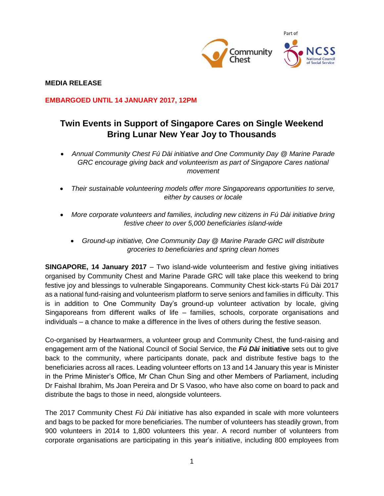

**MEDIA RELEASE**

**EMBARGOED UNTIL 14 JANUARY 2017, 12PM**

# **Twin Events in Support of Singapore Cares on Single Weekend Bring Lunar New Year Joy to Thousands**

- *Annual Community Chest Fú Dài initiative and One Community Day @ Marine Parade*  GRC encourage giving back and volunteerism as part of Singapore Cares national *movement*
- *Their sustainable volunteering models offer more Singaporeans opportunities to serve, either by causes or locale*
- *More corporate volunteers and families, including new citizens in Fú Dài initiative bring festive cheer to over 5,000 beneficiaries island-wide* 
	- *Ground-up initiative, One Community Day @ Marine Parade GRC will distribute groceries to beneficiaries and spring clean homes*

**SINGAPORE, 14 January 2017** – Two island-wide volunteerism and festive giving initiatives organised by Community Chest and Marine Parade GRC will take place this weekend to bring festive joy and blessings to vulnerable Singaporeans. Community Chest kick-starts Fú Dài 2017 as a national fund-raising and volunteerism platform to serve seniors and families in difficulty. This is in addition to One Community Day's ground-up volunteer activation by locale, giving Singaporeans from different walks of life – families, schools, corporate organisations and individuals – a chance to make a difference in the lives of others during the festive season.

Co-organised by Heartwarmers, a volunteer group and Community Chest, the fund-raising and engagement arm of the National Council of Social Service, the *Fú Dài* **initiative** sets out to give back to the community, where participants donate, pack and distribute festive bags to the beneficiaries across all races. Leading volunteer efforts on 13 and 14 January this year is Minister in the Prime Minister's Office, Mr Chan Chun Sing and other Members of Parliament, including Dr Faishal Ibrahim, Ms Joan Pereira and Dr S Vasoo, who have also come on board to pack and distribute the bags to those in need, alongside volunteers.

The 2017 Community Chest *Fú Dài* initiative has also expanded in scale with more volunteers and bags to be packed for more beneficiaries. The number of volunteers has steadily grown, from 900 volunteers in 2014 to 1,800 volunteers this year. A record number of volunteers from corporate organisations are participating in this year's initiative, including 800 employees from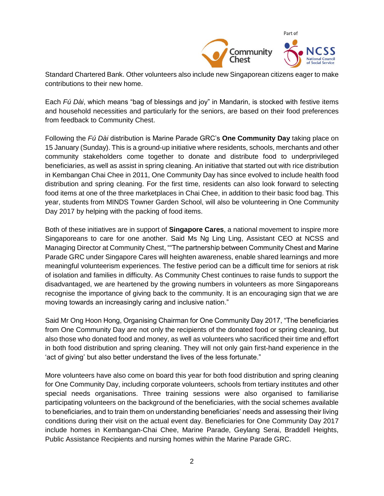

Standard Chartered Bank. Other volunteers also include new Singaporean citizens eager to make contributions to their new home.

Each *Fú Dài*, which means "bag of blessings and joy" in Mandarin, is stocked with festive items and household necessities and particularly for the seniors, are based on their food preferences from feedback to Community Chest.

Following the *Fú Dài* distribution is Marine Parade GRC's **One Community Day** taking place on 15 January (Sunday). This is a ground-up initiative where residents, schools, merchants and other community stakeholders come together to donate and distribute food to underprivileged beneficiaries, as well as assist in spring cleaning. An initiative that started out with rice distribution in Kembangan Chai Chee in 2011, One Community Day has since evolved to include health food distribution and spring cleaning. For the first time, residents can also look forward to selecting food items at one of the three marketplaces in Chai Chee, in addition to their basic food bag. This year, students from MINDS Towner Garden School, will also be volunteering in One Community Day 2017 by helping with the packing of food items.

Both of these initiatives are in support of **Singapore Cares**, a national movement to inspire more Singaporeans to care for one another. Said Ms Ng Ling Ling, Assistant CEO at NCSS and Managing Director at Community Chest, ""The partnership between Community Chest and Marine Parade GRC under Singapore Cares will heighten awareness, enable shared learnings and more meaningful volunteerism experiences. The festive period can be a difficult time for seniors at risk of isolation and families in difficulty. As Community Chest continues to raise funds to support the disadvantaged, we are heartened by the growing numbers in volunteers as more Singaporeans recognise the importance of giving back to the community. It is an encouraging sign that we are moving towards an increasingly caring and inclusive nation."

Said Mr Ong Hoon Hong, Organising Chairman for One Community Day 2017, "The beneficiaries from One Community Day are not only the recipients of the donated food or spring cleaning, but also those who donated food and money, as well as volunteers who sacrificed their time and effort in both food distribution and spring cleaning. They will not only gain first-hand experience in the 'act of giving' but also better understand the lives of the less fortunate."

More volunteers have also come on board this year for both food distribution and spring cleaning for One Community Day, including corporate volunteers, schools from tertiary institutes and other special needs organisations. Three training sessions were also organised to familiarise participating volunteers on the background of the beneficiaries, with the social schemes available to beneficiaries, and to train them on understanding beneficiaries' needs and assessing their living conditions during their visit on the actual event day. Beneficiaries for One Community Day 2017 include homes in Kembangan-Chai Chee, Marine Parade, Geylang Serai, Braddell Heights, Public Assistance Recipients and nursing homes within the Marine Parade GRC.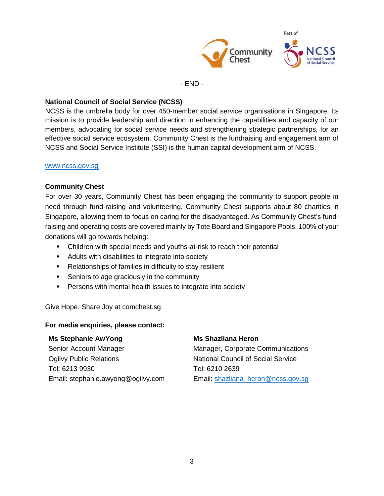

- END -

## **National Council of Social Service (NCSS)**

NCSS is the umbrella body for over 450-member social service organisations in Singapore. Its mission is to provide leadership and direction in enhancing the capabilities and capacity of our members, advocating for social service needs and strengthening strategic partnerships, for an effective social service ecosystem. Community Chest is the fundraising and engagement arm of NCSS and Social Service Institute (SSI) is the human capital development arm of NCSS.

#### [www.ncss.gov.sg](http://www.ncss.gov.sg/)

## **Community Chest**

For over 30 years, Community Chest has been engaging the community to support people in need through fund-raising and volunteering. Community Chest supports about 80 charities in Singapore, allowing them to focus on caring for the disadvantaged. As Community Chest's fundraising and operating costs are covered mainly by Tote Board and Singapore Pools, 100% of your donations will go towards helping:

- Children with special needs and youths-at-risk to reach their potential
- **Adults with disabilities to integrate into society**
- Relationships of families in difficulty to stay resilient
- Seniors to age graciously in the community
- **Persons with mental health issues to integrate into society**

Give Hope. Share Joy at comchest.sg.

#### **For media enquiries, please contact:**

#### **Ms Stephanie AwYong**

Senior Account Manager Ogilvy Public Relations Tel: 6213 9930 Email: stephanie.awyong@ogilvy.com

# **Ms Shazliana Heron**

Manager, Corporate Communications National Council of Social Service Tel: 6210 2639 Email: [shazliana\\_heron@ncss.gov.sg](mailto:shazliana_heron@ncss.gov.sg)